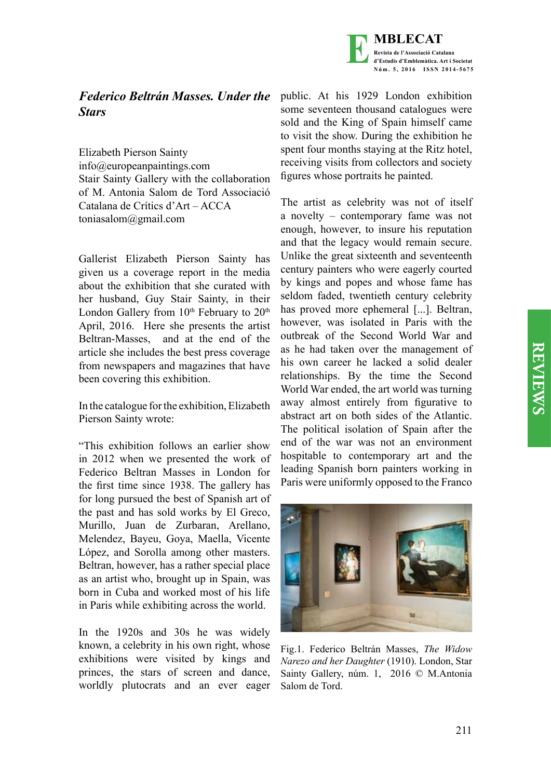



## *Federico Beltrán Masses. Under the Stars*

Elizabeth Pierson Sainty info@europeanpaintings.com Stair Sainty Gallery with the collaboration of M. Antonia Salom de Tord Associació Catalana de Crítics d'Art – ACCA toniasalom@gmail.com

Gallerist Elizabeth Pierson Sainty has given us a coverage report in the media about the exhibition that she curated with her husband, Guy Stair Sainty, in their London Gallery from  $10<sup>th</sup>$  February to  $20<sup>th</sup>$ April, 2016. Here she presents the artist Beltran-Masses, and at the end of the article she includes the best press coverage from newspapers and magazines that have been covering this exhibition.

In the catalogue for the exhibition, Elizabeth Pierson Sainty wrote:

"This exhibition follows an earlier show in 2012 when we presented the work of Federico Beltran Masses in London for the first time since 1938. The gallery has for long pursued the best of Spanish art of the past and has sold works by El Greco, Murillo, Juan de Zurbaran, Arellano, Melendez, Bayeu, Goya, Maella, Vicente López, and Sorolla among other masters. Beltran, however, has a rather special place as an artist who, brought up in Spain, was born in Cuba and worked most of his life in Paris while exhibiting across the world.

In the 1920s and 30s he was widely known, a celebrity in his own right, whose exhibitions were visited by kings and princes, the stars of screen and dance, worldly plutocrats and an ever eager public. At his 1929 London exhibition some seventeen thousand catalogues were sold and the King of Spain himself came to visit the show. During the exhibition he spent four months staying at the Ritz hotel, receiving visits from collectors and society figures whose portraits he painted.

The artist as celebrity was not of itself a novelty – contemporary fame was not enough, however, to insure his reputation and that the legacy would remain secure. Unlike the great sixteenth and seventeenth century painters who were eagerly courted by kings and popes and whose fame has seldom faded, twentieth century celebrity has proved more ephemeral [...]. Beltran, however, was isolated in Paris with the outbreak of the Second World War and as he had taken over the management of his own career he lacked a solid dealer relationships. By the time the Second World War ended, the art world was turning away almost entirely from figurative to abstract art on both sides of the Atlantic. The political isolation of Spain after the end of the war was not an environment hospitable to contemporary art and the leading Spanish born painters working in Paris were uniformly opposed to the Franco



Fig.1. Federico Beltrán Masses, *The Widow Narezo and her Daughter* (1910). London, Star Sainty Gallery, núm. 1, 2016 © M.Antonia Salom de Tord.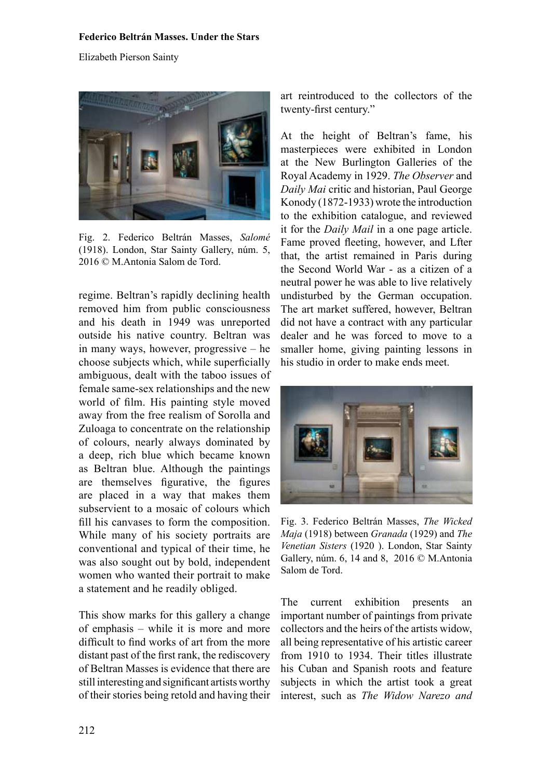## **Federico Beltrán Masses. Under the Stars**

Elizabeth Pierson Sainty



Fig. 2. Federico Beltrán Masses, *Salomé* (1918). London, Star Sainty Gallery, núm. 5, 2016 © M.Antonia Salom de Tord.

regime. Beltran's rapidly declining health removed him from public consciousness and his death in 1949 was unreported outside his native country. Beltran was in many ways, however, progressive – he choose subjects which, while superficially ambiguous, dealt with the taboo issues of female same-sex relationships and the new world of film. His painting style moved away from the free realism of Sorolla and Zuloaga to concentrate on the relationship of colours, nearly always dominated by a deep, rich blue which became known as Beltran blue. Although the paintings are themselves figurative, the figures are placed in a way that makes them subservient to a mosaic of colours which fill his canvases to form the composition. While many of his society portraits are conventional and typical of their time, he was also sought out by bold, independent women who wanted their portrait to make a statement and he readily obliged.

This show marks for this gallery a change of emphasis – while it is more and more difficult to find works of art from the more distant past of the first rank, the rediscovery of Beltran Masses is evidence that there are still interesting and significant artists worthy of their stories being retold and having their art reintroduced to the collectors of the twenty-first century."

At the height of Beltran's fame, his masterpieces were exhibited in London at the New Burlington Galleries of the Royal Academy in 1929. *The Observer* and *Daily Mai* critic and historian, Paul George Konody (1872-1933) wrote the introduction to the exhibition catalogue, and reviewed it for the *Daily Mail* in a one page article. Fame proved fleeting, however, and Lfter that, the artist remained in Paris during the Second World War - as a citizen of a neutral power he was able to live relatively undisturbed by the German occupation. The art market suffered, however, Beltran did not have a contract with any particular dealer and he was forced to move to a smaller home, giving painting lessons in his studio in order to make ends meet.



Fig. 3. Federico Beltrán Masses, *The Wicked Maja* (1918) between *Granada* (1929) and *The Venetian Sisters* (1920 ). London, Star Sainty Gallery, núm. 6, 14 and 8, 2016 © M.Antonia Salom de Tord.

The current exhibition presents an important number of paintings from private collectors and the heirs of the artists widow, all being representative of his artistic career from 1910 to 1934. Their titles illustrate his Cuban and Spanish roots and feature subjects in which the artist took a great interest, such as *The Widow Narezo and*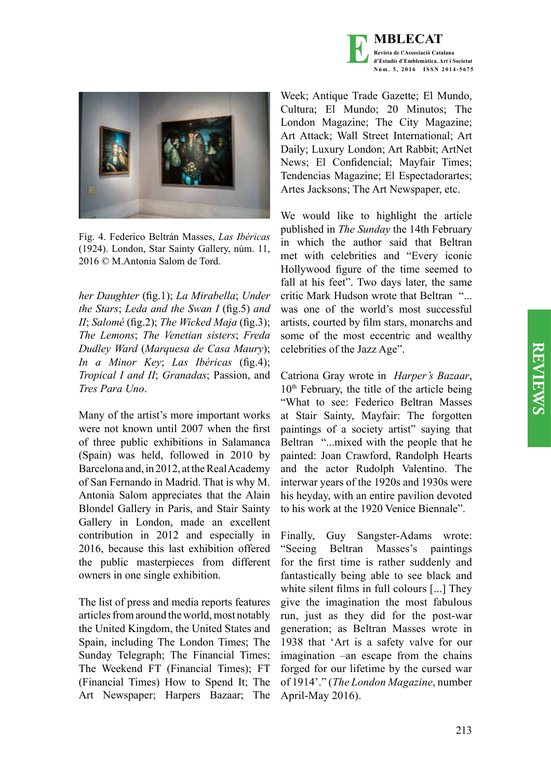



Fig. 4. Federico Beltrán Masses, *Las Ibéricas* (1924). London, Star Sainty Gallery, núm. 11, 2016 © M.Antonia Salom de Tord.

*her Daughter* (fig.1); *La Mirabella*; *Under the Stars*; *Leda and the Swan I* (fig.5) *and II*; *Salomé* (fig.2); *The Wicked Maja* (fig.3); *The Lemons*; *The Venetian sisters*; *Freda Dudley Ward* (*Marquesa de Casa Maury*); *In a Minor Key*; *Las Ibéricas* (fig.4); *Tropical I and II*; *Granadas*; Passion, and *Tres Para Uno*.

Many of the artist's more important works were not known until 2007 when the first of three public exhibitions in Salamanca (Spain) was held, followed in 2010 by Barcelona and, in 2012, at the Real Academy of San Fernando in Madrid. That is why M. Antonia Salom appreciates that the Alain Blondel Gallery in Paris, and Stair Sainty Gallery in London, made an excellent contribution in 2012 and especially in 2016, because this last exhibition offered the public masterpieces from different owners in one single exhibition.

The list of press and media reports features articles from around the world, most notably the United Kingdom, the United States and Spain, including The London Times; The Sunday Telegraph; The Financial Times; The Weekend FT (Financial Times); FT (Financial Times) How to Spend It; The Art Newspaper; Harpers Bazaar; The

Week; Antique Trade Gazette; El Mundo, Cultura; El Mundo; 20 Minutos; The London Magazine; The City Magazine; Art Attack; Wall Street International; Art Daily; Luxury London; Art Rabbit; ArtNet News; El Confidencial; Mayfair Times; Tendencias Magazine; El Espectadorartes; Artes Jacksons; The Art Newspaper, etc.

We would like to highlight the article published in *The Sunday* the 14th February in which the author said that Beltran met with celebrities and "Every iconic Hollywood figure of the time seemed to fall at his feet". Two days later, the same critic Mark Hudson wrote that Beltran "... was one of the world's most successful artists, courted by film stars, monarchs and some of the most eccentric and wealthy celebrities of the Jazz Age".

Catriona Gray wrote in *Harper's Bazaar*,  $10<sup>th</sup>$  February, the title of the article being "What to see: Federico Beltran Masses at Stair Sainty, Mayfair: The forgotten paintings of a society artist" saying that Beltran "...mixed with the people that he painted: Joan Crawford, Randolph Hearts and the actor Rudolph Valentino. The interwar years of the 1920s and 1930s were his heyday, with an entire pavilion devoted to his work at the 1920 Venice Biennale".

Finally, Guy Sangster-Adams wrote: "Seeing Beltran Masses's paintings for the first time is rather suddenly and fantastically being able to see black and white silent films in full colours [...] They give the imagination the most fabulous run, just as they did for the post-war generation; as Beltran Masses wrote in 1938 that 'Art is a safety valve for our imagination –an escape from the chains forged for our lifetime by the cursed war of 1914'." (*The London Magazine*, number April-May 2016).